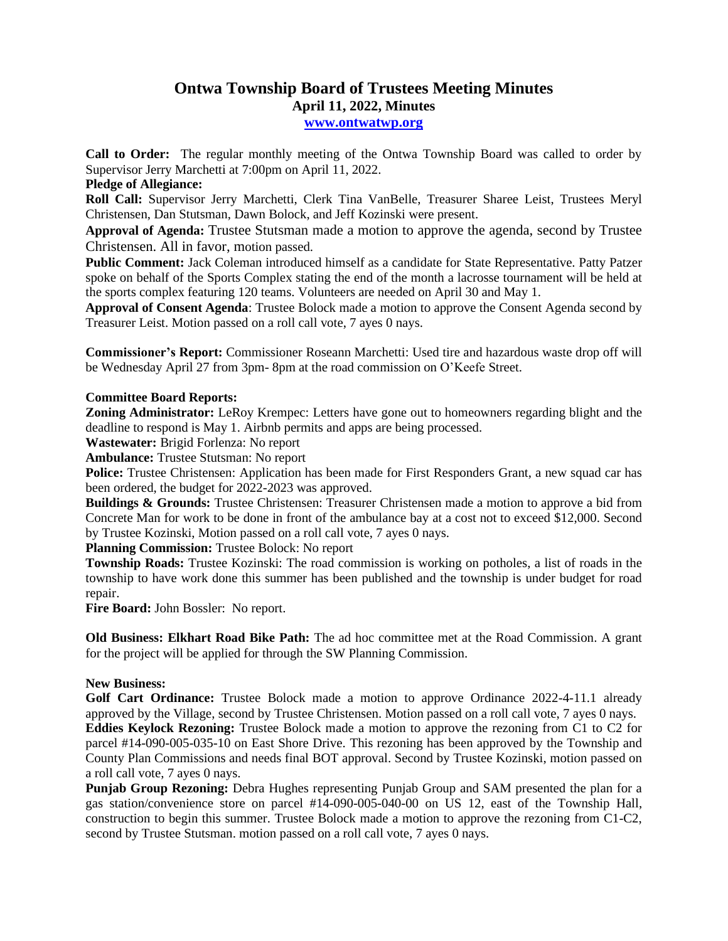## **Ontwa Township Board of Trustees Meeting Minutes April 11, 2022, Minutes**

**[www.ontwatwp.org](http://www.ontwatwp.org/)**

**Call to Order:** The regular monthly meeting of the Ontwa Township Board was called to order by Supervisor Jerry Marchetti at 7:00pm on April 11, 2022.

## **Pledge of Allegiance:**

**Roll Call:** Supervisor Jerry Marchetti, Clerk Tina VanBelle, Treasurer Sharee Leist, Trustees Meryl Christensen, Dan Stutsman, Dawn Bolock, and Jeff Kozinski were present.

**Approval of Agenda:** Trustee Stutsman made a motion to approve the agenda, second by Trustee Christensen. All in favor, motion passed.

**Public Comment:** Jack Coleman introduced himself as a candidate for State Representative. Patty Patzer spoke on behalf of the Sports Complex stating the end of the month a lacrosse tournament will be held at the sports complex featuring 120 teams. Volunteers are needed on April 30 and May 1.

**Approval of Consent Agenda**: Trustee Bolock made a motion to approve the Consent Agenda second by Treasurer Leist. Motion passed on a roll call vote, 7 ayes 0 nays.

**Commissioner's Report:** Commissioner Roseann Marchetti: Used tire and hazardous waste drop off will be Wednesday April 27 from 3pm- 8pm at the road commission on O'Keefe Street.

## **Committee Board Reports:**

**Zoning Administrator:** LeRoy Krempec: Letters have gone out to homeowners regarding blight and the deadline to respond is May 1. Airbnb permits and apps are being processed.

**Wastewater:** Brigid Forlenza: No report

**Ambulance:** Trustee Stutsman: No report

**Police:** Trustee Christensen: Application has been made for First Responders Grant, a new squad car has been ordered, the budget for 2022-2023 was approved.

**Buildings & Grounds:** Trustee Christensen: Treasurer Christensen made a motion to approve a bid from Concrete Man for work to be done in front of the ambulance bay at a cost not to exceed \$12,000. Second by Trustee Kozinski, Motion passed on a roll call vote, 7 ayes 0 nays.

**Planning Commission:** Trustee Bolock: No report

**Township Roads:** Trustee Kozinski: The road commission is working on potholes, a list of roads in the township to have work done this summer has been published and the township is under budget for road repair.

**Fire Board:** John Bossler: No report.

**Old Business: Elkhart Road Bike Path:** The ad hoc committee met at the Road Commission. A grant for the project will be applied for through the SW Planning Commission.

## **New Business:**

Golf Cart Ordinance: Trustee Bolock made a motion to approve Ordinance 2022-4-11.1 already approved by the Village, second by Trustee Christensen. Motion passed on a roll call vote, 7 ayes 0 nays. **Eddies Keylock Rezoning:** Trustee Bolock made a motion to approve the rezoning from C1 to C2 for parcel #14-090-005-035-10 on East Shore Drive. This rezoning has been approved by the Township and County Plan Commissions and needs final BOT approval. Second by Trustee Kozinski, motion passed on a roll call vote, 7 ayes 0 nays.

**Punjab Group Rezoning:** Debra Hughes representing Punjab Group and SAM presented the plan for a gas station/convenience store on parcel #14-090-005-040-00 on US 12, east of the Township Hall, construction to begin this summer. Trustee Bolock made a motion to approve the rezoning from C1-C2, second by Trustee Stutsman. motion passed on a roll call vote, 7 ayes 0 nays.